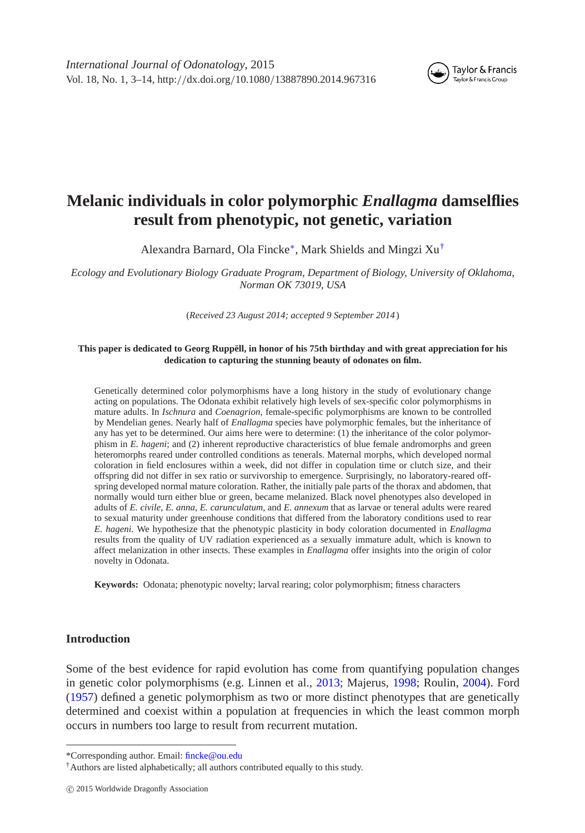

# **Melanic individuals in color polymorphic** *Enallagma* **damselflies result from phenotypic, not genetic, variation**

Alexandra Barnard, Ola Fincke[∗](#page-0-0), Mark Shields and Mingzi Xu[†](#page-0-0)

*Ecology and Evolutionary Biology Graduate Program, Department of Biology, University of Oklahoma, Norman OK 73019, USA*

(*Received 23 August 2014; accepted 9 September 2014* )

#### **This paper is dedicated to Georg Ruppëll, in honor of his 75th birthday and with great appreciation for his dedication to capturing the stunning beauty of odonates on film.**

Genetically determined color polymorphisms have a long history in the study of evolutionary change acting on populations. The Odonata exhibit relatively high levels of sex-specific color polymorphisms in mature adults. In *Ischnura* and *Coenagrion*, female-specific polymorphisms are known to be controlled by Mendelian genes. Nearly half of *Enallagma* species have polymorphic females, but the inheritance of any has yet to be determined. Our aims here were to determine: (1) the inheritance of the color polymorphism in *E. hageni*; and (2) inherent reproductive characteristics of blue female andromorphs and green heteromorphs reared under controlled conditions as tenerals. Maternal morphs, which developed normal coloration in field enclosures within a week, did not differ in copulation time or clutch size, and their offspring did not differ in sex ratio or survivorship to emergence. Surprisingly, no laboratory-reared offspring developed normal mature coloration. Rather, the initially pale parts of the thorax and abdomen, that normally would turn either blue or green, became melanized. Black novel phenotypes also developed in adults of *E. civile*, *E. anna*, *E. carunculatum*, and *E. annexum* that as larvae or teneral adults were reared to sexual maturity under greenhouse conditions that differed from the laboratory conditions used to rear *E. hageni.* We hypothesize that the phenotypic plasticity in body coloration documented in *Enallagma* results from the quality of UV radiation experienced as a sexually immature adult, which is known to affect melanization in other insects. These examples in *Enallagma* offer insights into the origin of color novelty in Odonata.

**Keywords:** Odonata; phenotypic novelty; larval rearing; color polymorphism; fitness characters

### **Introduction**

Some of the best evidence for rapid evolution has come from quantifying population changes in genetic color polymorphisms (e.g. Linnen et al., [2013;](#page-10-0) Majerus, [1998;](#page-10-1) Roulin, [2004\)](#page-11-0). Ford [\(1957\)](#page-10-2) defined a genetic polymorphism as two or more distinct phenotypes that are genetically determined and coexist within a population at frequencies in which the least common morph occurs in numbers too large to result from recurrent mutation.

<sup>\*</sup>Corresponding author. Email: [fincke@ou.edu](mailto:fincke@ou.edu)

<span id="page-0-0"></span><sup>†</sup>Authors are listed alphabetically; all authors contributed equally to this study.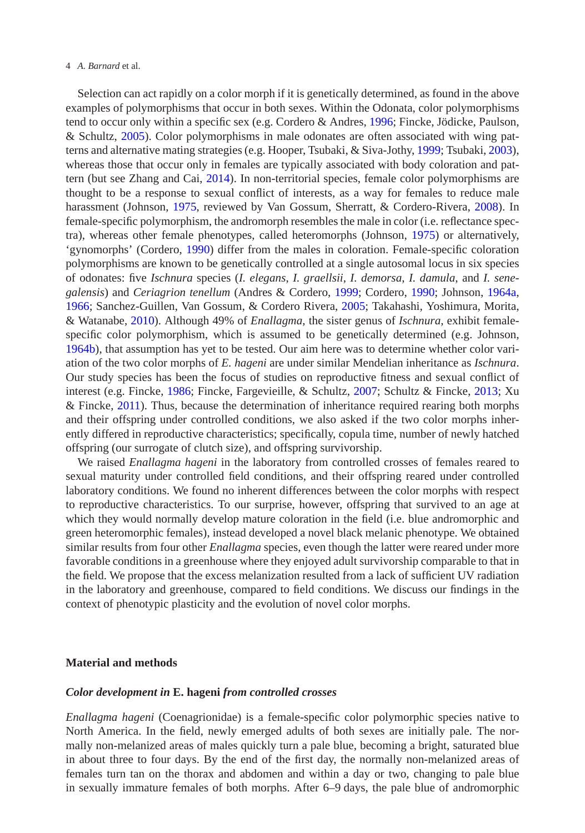#### 4 *A. Barnard* et al.

Selection can act rapidly on a color morph if it is genetically determined, as found in the above examples of polymorphisms that occur in both sexes. Within the Odonata, color polymorphisms tend to occur only within a specific sex (e.g. Cordero & Andres, [1996;](#page-10-3) Fincke, Jödicke, Paulson, & Schultz, [2005\)](#page-10-4). Color polymorphisms in male odonates are often associated with wing patterns and alternative mating strategies (e.g. Hooper, Tsubaki, & Siva-Jothy, [1999;](#page-10-5) Tsubaki, [2003\)](#page-11-1), whereas those that occur only in females are typically associated with body coloration and pattern (but see Zhang and Cai, [2014\)](#page-11-2). In non-territorial species, female color polymorphisms are thought to be a response to sexual conflict of interests, as a way for females to reduce male harassment (Johnson, [1975,](#page-10-6) reviewed by Van Gossum, Sherratt, & Cordero-Rivera, [2008\)](#page-11-3). In female-specific polymorphism, the andromorph resembles the male in color (i.e. reflectance spectra), whereas other female phenotypes, called heteromorphs (Johnson, [1975\)](#page-10-6) or alternatively, 'gynomorphs' (Cordero, [1990\)](#page-10-7) differ from the males in coloration. Female-specific coloration polymorphisms are known to be genetically controlled at a single autosomal locus in six species of odonates: five *Ischnura* species (*I. elegans*, *I. graellsii*, *I. demorsa*, *I. damula*, and *I. senegalensis*) and *Ceriagrion tenellum* (Andres & Cordero, [1999;](#page-10-8) Cordero, [1990;](#page-10-7) Johnson, [1964a,](#page-10-9) [1966;](#page-10-10) Sanchez-Guillen, Van Gossum, & Cordero Rivera, [2005;](#page-11-4) Takahashi, Yoshimura, Morita, & Watanabe, [2010\)](#page-11-5). Although 49% of *Enallagma*, the sister genus of *Ischnura*, exhibit femalespecific color polymorphism, which is assumed to be genetically determined (e.g. Johnson, [1964b\)](#page-10-11), that assumption has yet to be tested. Our aim here was to determine whether color variation of the two color morphs of *E. hageni* are under similar Mendelian inheritance as *Ischnura*. Our study species has been the focus of studies on reproductive fitness and sexual conflict of interest (e.g. Fincke, [1986;](#page-10-12) Fincke, Fargevieille, & Schultz, [2007;](#page-10-13) Schultz & Fincke, [2013;](#page-11-6) Xu & Fincke, [2011\)](#page-11-7). Thus, because the determination of inheritance required rearing both morphs and their offspring under controlled conditions, we also asked if the two color morphs inherently differed in reproductive characteristics; specifically, copula time, number of newly hatched offspring (our surrogate of clutch size), and offspring survivorship.

We raised *Enallagma hageni* in the laboratory from controlled crosses of females reared to sexual maturity under controlled field conditions, and their offspring reared under controlled laboratory conditions. We found no inherent differences between the color morphs with respect to reproductive characteristics. To our surprise, however, offspring that survived to an age at which they would normally develop mature coloration in the field (i.e. blue andromorphic and green heteromorphic females), instead developed a novel black melanic phenotype. We obtained similar results from four other *Enallagma* species, even though the latter were reared under more favorable conditions in a greenhouse where they enjoyed adult survivorship comparable to that in the field. We propose that the excess melanization resulted from a lack of sufficient UV radiation in the laboratory and greenhouse, compared to field conditions. We discuss our findings in the context of phenotypic plasticity and the evolution of novel color morphs.

# **Material and methods**

#### *Color development in* **E. hageni** *from controlled crosses*

*Enallagma hageni* (Coenagrionidae) is a female-specific color polymorphic species native to North America. In the field, newly emerged adults of both sexes are initially pale. The normally non-melanized areas of males quickly turn a pale blue, becoming a bright, saturated blue in about three to four days. By the end of the first day, the normally non-melanized areas of females turn tan on the thorax and abdomen and within a day or two, changing to pale blue in sexually immature females of both morphs. After 6–9 days, the pale blue of andromorphic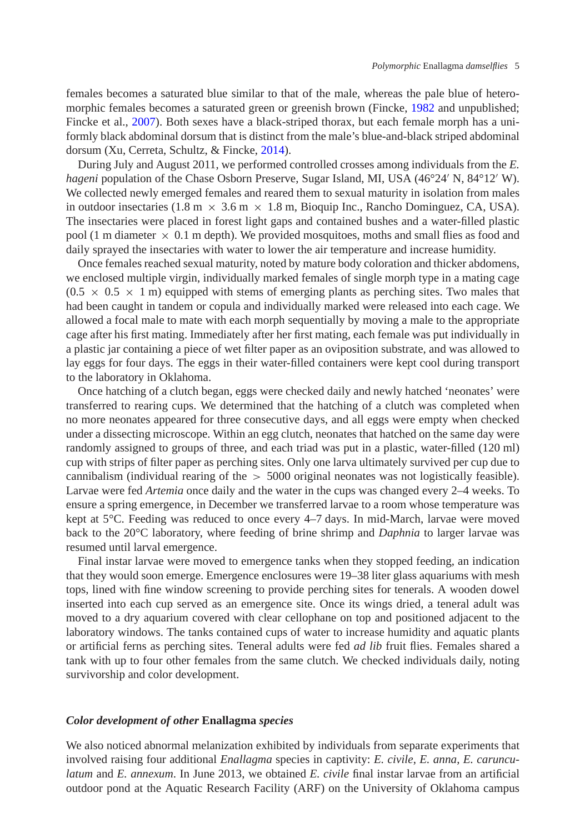females becomes a saturated blue similar to that of the male, whereas the pale blue of heteromorphic females becomes a saturated green or greenish brown (Fincke, [1982](#page-10-14) and unpublished; Fincke et al., [2007\)](#page-10-13). Both sexes have a black-striped thorax, but each female morph has a uniformly black abdominal dorsum that is distinct from the male's blue-and-black striped abdominal dorsum (Xu, Cerreta, Schultz, & Fincke, [2014\)](#page-11-8).

During July and August 2011, we performed controlled crosses among individuals from the *E. hageni* population of the Chase Osborn Preserve, Sugar Island, MI, USA (46°24' N, 84°12' W). We collected newly emerged females and reared them to sexual maturity in isolation from males in outdoor insectaries (1.8 m  $\times$  3.6 m  $\times$  1.8 m, Bioquip Inc., Rancho Dominguez, CA, USA). The insectaries were placed in forest light gaps and contained bushes and a water-filled plastic pool (1 m diameter  $\times$  0.1 m depth). We provided mosquitoes, moths and small flies as food and daily sprayed the insectaries with water to lower the air temperature and increase humidity.

Once females reached sexual maturity, noted by mature body coloration and thicker abdomens, we enclosed multiple virgin, individually marked females of single morph type in a mating cage  $(0.5 \times 0.5 \times 1$  m) equipped with stems of emerging plants as perching sites. Two males that had been caught in tandem or copula and individually marked were released into each cage. We allowed a focal male to mate with each morph sequentially by moving a male to the appropriate cage after his first mating. Immediately after her first mating, each female was put individually in a plastic jar containing a piece of wet filter paper as an oviposition substrate, and was allowed to lay eggs for four days. The eggs in their water-filled containers were kept cool during transport to the laboratory in Oklahoma.

Once hatching of a clutch began, eggs were checked daily and newly hatched 'neonates' were transferred to rearing cups. We determined that the hatching of a clutch was completed when no more neonates appeared for three consecutive days, and all eggs were empty when checked under a dissecting microscope. Within an egg clutch, neonates that hatched on the same day were randomly assigned to groups of three, and each triad was put in a plastic, water-filled (120 ml) cup with strips of filter paper as perching sites. Only one larva ultimately survived per cup due to cannibalism (individual rearing of the  $> 5000$  original neonates was not logistically feasible). Larvae were fed *Artemia* once daily and the water in the cups was changed every 2–4 weeks. To ensure a spring emergence, in December we transferred larvae to a room whose temperature was kept at 5°C. Feeding was reduced to once every 4–7 days. In mid-March, larvae were moved back to the 20°C laboratory, where feeding of brine shrimp and *Daphnia* to larger larvae was resumed until larval emergence.

Final instar larvae were moved to emergence tanks when they stopped feeding, an indication that they would soon emerge. Emergence enclosures were 19–38 liter glass aquariums with mesh tops, lined with fine window screening to provide perching sites for tenerals. A wooden dowel inserted into each cup served as an emergence site. Once its wings dried, a teneral adult was moved to a dry aquarium covered with clear cellophane on top and positioned adjacent to the laboratory windows. The tanks contained cups of water to increase humidity and aquatic plants or artificial ferns as perching sites. Teneral adults were fed *ad lib* fruit flies. Females shared a tank with up to four other females from the same clutch. We checked individuals daily, noting survivorship and color development.

#### *Color development of other* **Enallagma** *species*

We also noticed abnormal melanization exhibited by individuals from separate experiments that involved raising four additional *Enallagma* species in captivity: *E. civile*, *E. anna*, *E. carunculatum* and *E. annexum*. In June 2013, we obtained *E. civile* final instar larvae from an artificial outdoor pond at the Aquatic Research Facility (ARF) on the University of Oklahoma campus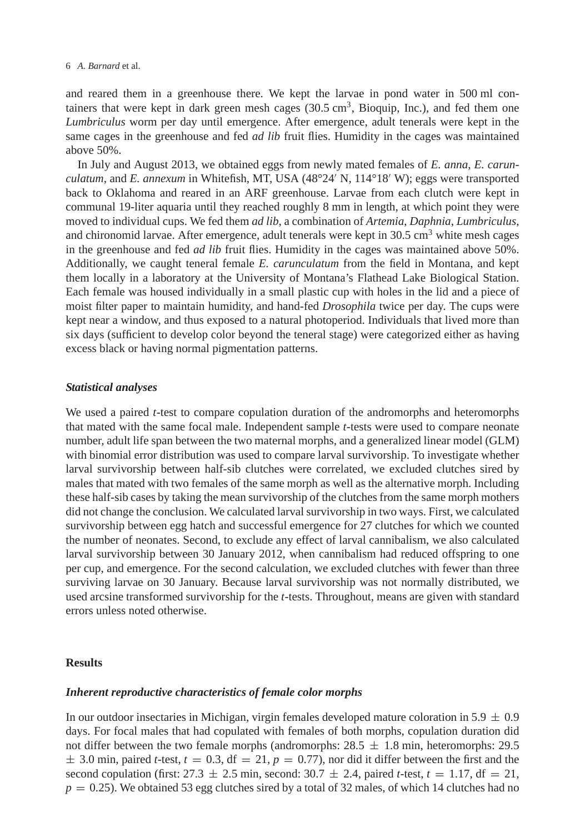and reared them in a greenhouse there. We kept the larvae in pond water in 500 ml containers that were kept in dark green mesh cages  $(30.5 \text{ cm}^3, B$ ioquip, Inc.), and fed them one *Lumbriculus* worm per day until emergence. After emergence, adult tenerals were kept in the same cages in the greenhouse and fed *ad lib* fruit flies. Humidity in the cages was maintained above 50%.

In July and August 2013, we obtained eggs from newly mated females of *E. anna*, *E. carunculatum*, and *E. annexum* in Whitefish, MT, USA (48°24 N, 114°18 W); eggs were transported back to Oklahoma and reared in an ARF greenhouse. Larvae from each clutch were kept in communal 19-liter aquaria until they reached roughly 8 mm in length, at which point they were moved to individual cups. We fed them *ad lib*, a combination of *Artemia*, *Daphnia*, *Lumbriculus*, and chironomid larvae. After emergence, adult tenerals were kept in  $30.5 \text{ cm}^3$  white mesh cages in the greenhouse and fed *ad lib* fruit flies. Humidity in the cages was maintained above 50%. Additionally, we caught teneral female *E. carunculatum* from the field in Montana, and kept them locally in a laboratory at the University of Montana's Flathead Lake Biological Station. Each female was housed individually in a small plastic cup with holes in the lid and a piece of moist filter paper to maintain humidity, and hand-fed *Drosophila* twice per day. The cups were kept near a window, and thus exposed to a natural photoperiod. Individuals that lived more than six days (sufficient to develop color beyond the teneral stage) were categorized either as having excess black or having normal pigmentation patterns.

# *Statistical analyses*

We used a paired *t*-test to compare copulation duration of the andromorphs and heteromorphs that mated with the same focal male. Independent sample *t*-tests were used to compare neonate number, adult life span between the two maternal morphs, and a generalized linear model (GLM) with binomial error distribution was used to compare larval survivorship. To investigate whether larval survivorship between half-sib clutches were correlated, we excluded clutches sired by males that mated with two females of the same morph as well as the alternative morph. Including these half-sib cases by taking the mean survivorship of the clutches from the same morph mothers did not change the conclusion. We calculated larval survivorship in two ways. First, we calculated survivorship between egg hatch and successful emergence for 27 clutches for which we counted the number of neonates. Second, to exclude any effect of larval cannibalism, we also calculated larval survivorship between 30 January 2012, when cannibalism had reduced offspring to one per cup, and emergence. For the second calculation, we excluded clutches with fewer than three surviving larvae on 30 January. Because larval survivorship was not normally distributed, we used arcsine transformed survivorship for the *t*-tests. Throughout, means are given with standard errors unless noted otherwise.

#### **Results**

# *Inherent reproductive characteristics of female color morphs*

In our outdoor insectaries in Michigan, virgin females developed mature coloration in 5.9  $\pm$  0.9 days. For focal males that had copulated with females of both morphs, copulation duration did not differ between the two female morphs (andromorphs:  $28.5 \pm 1.8$  min, heteromorphs: 29.5  $\pm$  3.0 min, paired *t*-test,  $t = 0.3$ , df = 21,  $p = 0.77$ ), nor did it differ between the first and the second copulation (first:  $27.3 \pm 2.5$  min, second:  $30.7 \pm 2.4$ , paired *t*-test,  $t = 1.17$ , df = 21,  $p = 0.25$ ). We obtained 53 egg clutches sired by a total of 32 males, of which 14 clutches had no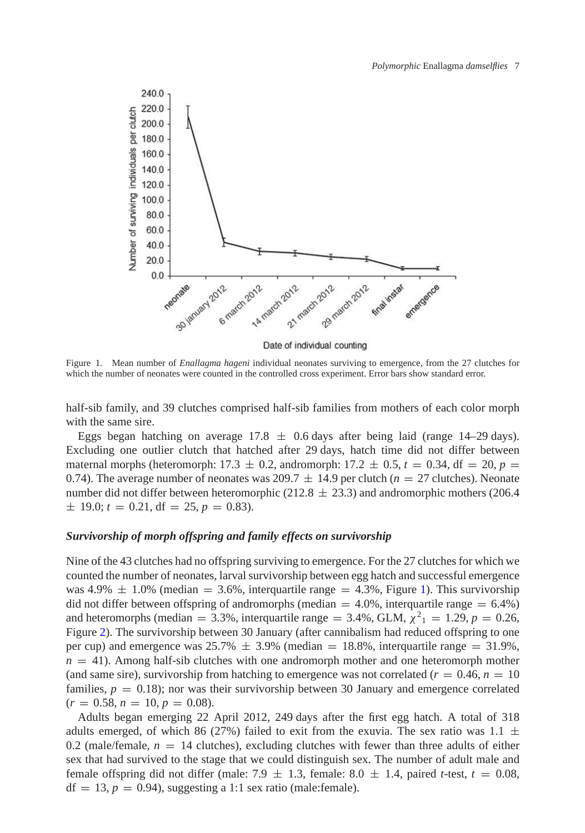

<span id="page-4-0"></span>Figure 1. Mean number of *Enallagma hageni* individual neonates surviving to emergence, from the 27 clutches for which the number of neonates were counted in the controlled cross experiment. Error bars show standard error.

half-sib family, and 39 clutches comprised half-sib families from mothers of each color morph with the same sire.

Eggs began hatching on average  $17.8 \pm 0.6$  days after being laid (range 14–29 days). Excluding one outlier clutch that hatched after 29 days, hatch time did not differ between maternal morphs (heteromorph: 17.3  $\pm$  0.2, andromorph: 17.2  $\pm$  0.5,  $t = 0.34$ , df = 20,  $p =$ 0.74). The average number of neonates was 209.7  $\pm$  14.9 per clutch ( $n = 27$  clutches). Neonate number did not differ between heteromorphic (212.8  $\pm$  23.3) and andromorphic mothers (206.4  $\pm$  19.0;  $t = 0.21$ , df = 25,  $p = 0.83$ ).

# *Survivorship of morph offspring and family effects on survivorship*

Nine of the 43 clutches had no offspring surviving to emergence. For the 27 clutches for which we counted the number of neonates, larval survivorship between egg hatch and successful emergence was 4.9%  $\pm$  1.0% (median = 3.6%, interguartile range = 4.3%, Figure [1\)](#page-4-0). This survivorship did not differ between offspring of andromorphs (median  $= 4.0\%$ , interquartile range  $= 6.4\%$ ) and heteromorphs (median = 3.3%, interquartile range = 3.4%, GLM,  $\chi^2_1 = 1.29$ ,  $p = 0.26$ , Figure [2\)](#page-5-0). The survivorship between 30 January (after cannibalism had reduced offspring to one per cup) and emergence was  $25.7\% \pm 3.9\%$  (median = 18.8%, interquartile range = 31.9%,  $n = 41$ ). Among half-sib clutches with one andromorph mother and one heteromorph mother (and same sire), survivorship from hatching to emergence was not correlated ( $r = 0.46$ ,  $n = 10$ ) families,  $p = 0.18$ ; nor was their survivorship between 30 January and emergence correlated  $(r = 0.58, n = 10, p = 0.08).$ 

Adults began emerging 22 April 2012, 249 days after the first egg hatch. A total of 318 adults emerged, of which 86 (27%) failed to exit from the exuvia. The sex ratio was 1.1  $\pm$ 0.2 (male/female,  $n = 14$  clutches), excluding clutches with fewer than three adults of either sex that had survived to the stage that we could distinguish sex. The number of adult male and female offspring did not differ (male:  $7.9 \pm 1.3$ , female:  $8.0 \pm 1.4$ , paired *t*-test,  $t = 0.08$ ,  $df = 13$ ,  $p = 0.94$ ), suggesting a 1:1 sex ratio (male:female).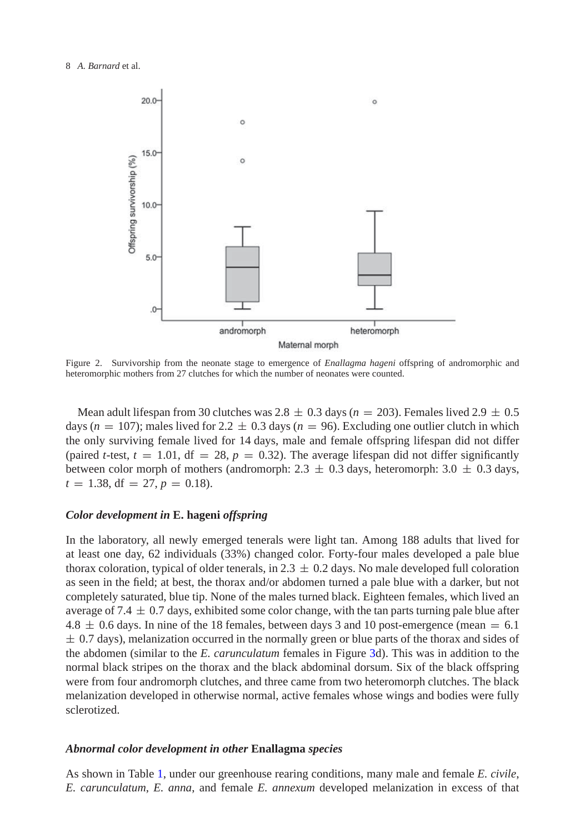8 *A. Barnard* et al.



<span id="page-5-0"></span>Figure 2. Survivorship from the neonate stage to emergence of *Enallagma hageni* offspring of andromorphic and heteromorphic mothers from 27 clutches for which the number of neonates were counted.

Mean adult lifespan from 30 clutches was  $2.8 \pm 0.3$  days ( $n = 203$ ). Females lived  $2.9 \pm 0.5$ days ( $n = 107$ ); males lived for 2.2  $\pm$  0.3 days ( $n = 96$ ). Excluding one outlier clutch in which the only surviving female lived for 14 days, male and female offspring lifespan did not differ (paired *t*-test,  $t = 1.01$ ,  $df = 28$ ,  $p = 0.32$ ). The average lifespan did not differ significantly between color morph of mothers (andromorph: 2.3  $\pm$  0.3 days, heteromorph: 3.0  $\pm$  0.3 days,  $t = 1.38$ , df = 27,  $p = 0.18$ ).

#### *Color development in* **E. hageni** *offspring*

In the laboratory, all newly emerged tenerals were light tan. Among 188 adults that lived for at least one day, 62 individuals (33%) changed color. Forty-four males developed a pale blue thorax coloration, typical of older tenerals, in  $2.3 \pm 0.2$  days. No male developed full coloration as seen in the field; at best, the thorax and/or abdomen turned a pale blue with a darker, but not completely saturated, blue tip. None of the males turned black. Eighteen females, which lived an average of 7.4  $\pm$  0.7 days, exhibited some color change, with the tan parts turning pale blue after  $4.8 \pm 0.6$  days. In nine of the 18 females, between days 3 and 10 post-emergence (mean = 6.1)  $\pm$  0.7 days), melanization occurred in the normally green or blue parts of the thorax and sides of the abdomen (similar to the *E. carunculatum* females in Figure [3d](#page-6-0)). This was in addition to the normal black stripes on the thorax and the black abdominal dorsum. Six of the black offspring were from four andromorph clutches, and three came from two heteromorph clutches. The black melanization developed in otherwise normal, active females whose wings and bodies were fully sclerotized.

#### *Abnormal color development in other* **Enallagma** *species*

As shown in Table [1,](#page-6-1) under our greenhouse rearing conditions, many male and female *E. civile*, *E. carunculatum*, *E. anna*, and female *E. annexum* developed melanization in excess of that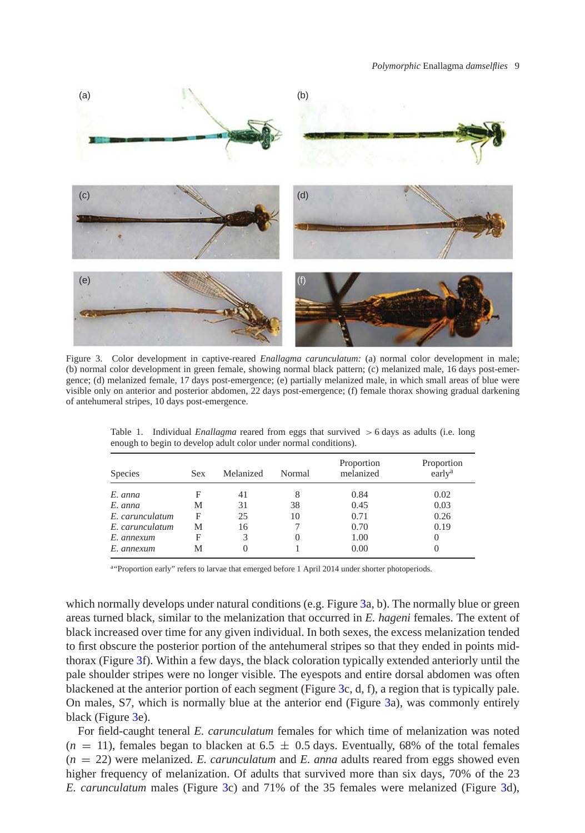

<span id="page-6-0"></span>Figure 3. Color development in captive-reared *Enallagma carunculatum:* (a) normal color development in male; (b) normal color development in green female, showing normal black pattern; (c) melanized male, 16 days post-emergence; (d) melanized female, 17 days post-emergence; (e) partially melanized male, in which small areas of blue were visible only on anterior and posterior abdomen, 22 days post-emergence; (f) female thorax showing gradual darkening of antehumeral stripes, 10 days post-emergence.

| Species         | Sex | Melanized | Normal           | Proportion<br>melanized | Proportion<br>early <sup>a</sup> |
|-----------------|-----|-----------|------------------|-------------------------|----------------------------------|
| E. anna         | F   | 41        | 8                | 0.84                    | 0.02                             |
| E. anna         | М   | 31        | 38               | 0.45                    | 0.03                             |
| E. carunculatum | F   | 25        | 10               | 0.71                    | 0.26                             |
| E. carunculatum | М   | 16        |                  | 0.70                    | 0.19                             |
| E. annexum      | F   | 3         | $\left( \right)$ | 1.00                    |                                  |
| E. annexum      | М   |           |                  | 0.00                    |                                  |

<span id="page-6-1"></span>Table 1. Individual *Enallagma* reared from eggs that survived > 6 days as adults (i.e. long enough to begin to develop adult color under normal conditions).

a"Proportion early" refers to larvae that emerged before 1 April 2014 under shorter photoperiods.

which normally develops under natural conditions (e.g. Figure [3a](#page-6-0), b). The normally blue or green areas turned black, similar to the melanization that occurred in *E. hageni* females. The extent of black increased over time for any given individual. In both sexes, the excess melanization tended to first obscure the posterior portion of the antehumeral stripes so that they ended in points midthorax (Figure [3f](#page-6-0)). Within a few days, the black coloration typically extended anteriorly until the pale shoulder stripes were no longer visible. The eyespots and entire dorsal abdomen was often blackened at the anterior portion of each segment (Figure [3c](#page-6-0), d, f), a region that is typically pale. On males, S7, which is normally blue at the anterior end (Figure [3a](#page-6-0)), was commonly entirely black (Figure [3e](#page-6-0)).

For field-caught teneral *E. carunculatum* females for which time of melanization was noted  $(n = 11)$ , females began to blacken at 6.5  $\pm$  0.5 days. Eventually, 68% of the total females  $(n = 22)$  were melanized. *E. carunculatum* and *E. anna* adults reared from eggs showed even higher frequency of melanization. Of adults that survived more than six days, 70% of the 23 *E. carunculatum* males (Figure [3c](#page-6-0)) and 71% of the 35 females were melanized (Figure [3d](#page-6-0)),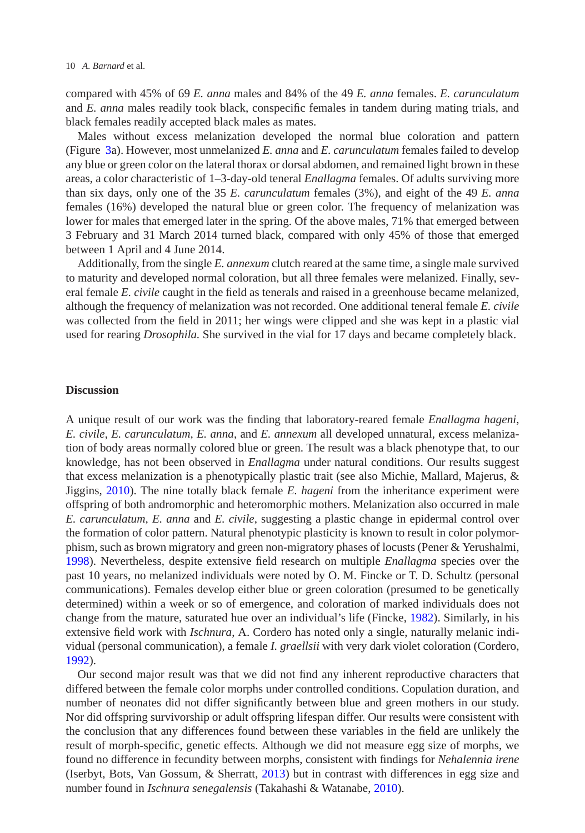compared with 45% of 69 *E. anna* males and 84% of the 49 *E. anna* females. *E. carunculatum* and *E. anna* males readily took black, conspecific females in tandem during mating trials, and black females readily accepted black males as mates.

Males without excess melanization developed the normal blue coloration and pattern (Figure [3a](#page-6-0)). However, most unmelanized *E. anna* and *E. carunculatum* females failed to develop any blue or green color on the lateral thorax or dorsal abdomen, and remained light brown in these areas, a color characteristic of 1–3-day-old teneral *Enallagma* females. Of adults surviving more than six days, only one of the 35 *E. carunculatum* females (3%), and eight of the 49 *E. anna* females (16%) developed the natural blue or green color. The frequency of melanization was lower for males that emerged later in the spring. Of the above males, 71% that emerged between 3 February and 31 March 2014 turned black, compared with only 45% of those that emerged between 1 April and 4 June 2014.

Additionally, from the single *E. annexum* clutch reared at the same time, a single male survived to maturity and developed normal coloration, but all three females were melanized. Finally, several female *E. civile* caught in the field as tenerals and raised in a greenhouse became melanized, although the frequency of melanization was not recorded. One additional teneral female *E. civile* was collected from the field in 2011; her wings were clipped and she was kept in a plastic vial used for rearing *Drosophila.* She survived in the vial for 17 days and became completely black.

#### **Discussion**

A unique result of our work was the finding that laboratory-reared female *Enallagma hageni*, *E. civile*, *E. carunculatum*, *E. anna*, and *E. annexum* all developed unnatural, excess melanization of body areas normally colored blue or green. The result was a black phenotype that, to our knowledge, has not been observed in *Enallagma* under natural conditions. Our results suggest that excess melanization is a phenotypically plastic trait (see also Michie, Mallard, Majerus, & Jiggins, [2010\)](#page-10-15). The nine totally black female *E. hageni* from the inheritance experiment were offspring of both andromorphic and heteromorphic mothers. Melanization also occurred in male *E. carunculatum*, *E. anna* and *E. civile*, suggesting a plastic change in epidermal control over the formation of color pattern. Natural phenotypic plasticity is known to result in color polymorphism, such as brown migratory and green non-migratory phases of locusts (Pener & Yerushalmi, [1998\)](#page-11-9). Nevertheless, despite extensive field research on multiple *Enallagma* species over the past 10 years, no melanized individuals were noted by O. M. Fincke or T. D. Schultz (personal communications). Females develop either blue or green coloration (presumed to be genetically determined) within a week or so of emergence, and coloration of marked individuals does not change from the mature, saturated hue over an individual's life (Fincke, [1982\)](#page-10-14). Similarly, in his extensive field work with *Ischnura*, A. Cordero has noted only a single, naturally melanic individual (personal communication), a female *I. graellsii* with very dark violet coloration (Cordero, [1992\)](#page-10-16).

Our second major result was that we did not find any inherent reproductive characters that differed between the female color morphs under controlled conditions. Copulation duration, and number of neonates did not differ significantly between blue and green mothers in our study. Nor did offspring survivorship or adult offspring lifespan differ. Our results were consistent with the conclusion that any differences found between these variables in the field are unlikely the result of morph-specific, genetic effects. Although we did not measure egg size of morphs, we found no difference in fecundity between morphs, consistent with findings for *Nehalennia irene* (Iserbyt, Bots, Van Gossum, & Sherratt, [2013\)](#page-10-17) but in contrast with differences in egg size and number found in *Ischnura senegalensis* (Takahashi & Watanabe, [2010\)](#page-11-5).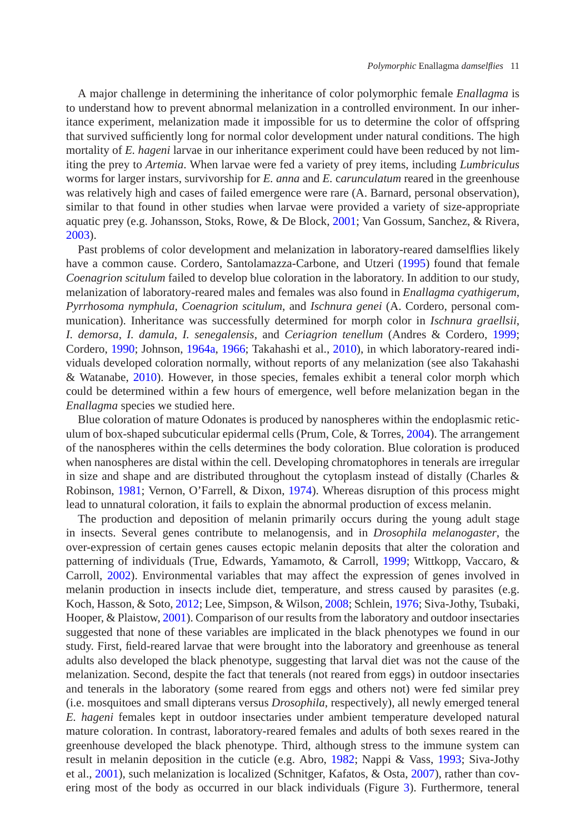A major challenge in determining the inheritance of color polymorphic female *Enallagma* is to understand how to prevent abnormal melanization in a controlled environment. In our inheritance experiment, melanization made it impossible for us to determine the color of offspring that survived sufficiently long for normal color development under natural conditions. The high mortality of *E. hageni* larvae in our inheritance experiment could have been reduced by not limiting the prey to *Artemia*. When larvae were fed a variety of prey items, including *Lumbriculus* worms for larger instars, survivorship for *E. anna* and *E.* c*arunculatum* reared in the greenhouse was relatively high and cases of failed emergence were rare (A. Barnard, personal observation), similar to that found in other studies when larvae were provided a variety of size-appropriate aquatic prey (e.g. Johansson, Stoks, Rowe, & De Block, [2001;](#page-10-18) Van Gossum, Sanchez, & Rivera, [2003\)](#page-11-10).

Past problems of color development and melanization in laboratory-reared damselflies likely have a common cause. Cordero, Santolamazza-Carbone, and Utzeri [\(1995\)](#page-10-19) found that female *Coenagrion scitulum* failed to develop blue coloration in the laboratory. In addition to our study, melanization of laboratory-reared males and females was also found in *Enallagma cyathigerum*, *Pyrrhosoma nymphula*, *Coenagrion scitulum*, and *Ischnura genei* (A. Cordero, personal communication). Inheritance was successfully determined for morph color in *Ischnura graellsii*, *I. demorsa*, *I. damula*, *I. senegalensis*, and *Ceriagrion tenellum* (Andres & Cordero, [1999;](#page-10-8) Cordero, [1990;](#page-10-7) Johnson, [1964a,](#page-10-9) [1966;](#page-10-10) Takahashi et al., [2010\)](#page-11-11), in which laboratory-reared individuals developed coloration normally, without reports of any melanization (see also Takahashi & Watanabe, [2010\)](#page-11-5). However, in those species, females exhibit a teneral color morph which could be determined within a few hours of emergence, well before melanization began in the *Enallagma* species we studied here.

Blue coloration of mature Odonates is produced by nanospheres within the endoplasmic reticulum of box-shaped subcuticular epidermal cells (Prum, Cole,  $&$  Torres, [2004\)](#page-11-12). The arrangement of the nanospheres within the cells determines the body coloration. Blue coloration is produced when nanospheres are distal within the cell. Developing chromatophores in tenerals are irregular in size and shape and are distributed throughout the cytoplasm instead of distally (Charles & Robinson, [1981;](#page-10-20) Vernon, O'Farrell, & Dixon, [1974\)](#page-11-13). Whereas disruption of this process might lead to unnatural coloration, it fails to explain the abnormal production of excess melanin.

The production and deposition of melanin primarily occurs during the young adult stage in insects. Several genes contribute to melanogensis, and in *Drosophila melanogaster*, the over-expression of certain genes causes ectopic melanin deposits that alter the coloration and patterning of individuals (True, Edwards, Yamamoto, & Carroll, [1999;](#page-11-14) Wittkopp, Vaccaro, & Carroll, [2002\)](#page-11-15). Environmental variables that may affect the expression of genes involved in melanin production in insects include diet, temperature, and stress caused by parasites (e.g. Koch, Hasson, & Soto, [2012;](#page-10-21) Lee, Simpson, & Wilson, [2008;](#page-10-22) Schlein, [1976;](#page-11-16) Siva-Jothy, Tsubaki, Hooper, & Plaistow, [2001\)](#page-11-17). Comparison of our results from the laboratory and outdoor insectaries suggested that none of these variables are implicated in the black phenotypes we found in our study. First, field-reared larvae that were brought into the laboratory and greenhouse as teneral adults also developed the black phenotype, suggesting that larval diet was not the cause of the melanization. Second, despite the fact that tenerals (not reared from eggs) in outdoor insectaries and tenerals in the laboratory (some reared from eggs and others not) were fed similar prey (i.e. mosquitoes and small dipterans versus *Drosophila*, respectively), all newly emerged teneral *E. hageni* females kept in outdoor insectaries under ambient temperature developed natural mature coloration. In contrast, laboratory-reared females and adults of both sexes reared in the greenhouse developed the black phenotype. Third, although stress to the immune system can result in melanin deposition in the cuticle (e.g. Abro, [1982;](#page-10-23) Nappi & Vass, [1993;](#page-10-24) Siva-Jothy et al., [2001\)](#page-11-17), such melanization is localized (Schnitger, Kafatos, & Osta, [2007\)](#page-11-18), rather than covering most of the body as occurred in our black individuals (Figure [3\)](#page-6-0). Furthermore, teneral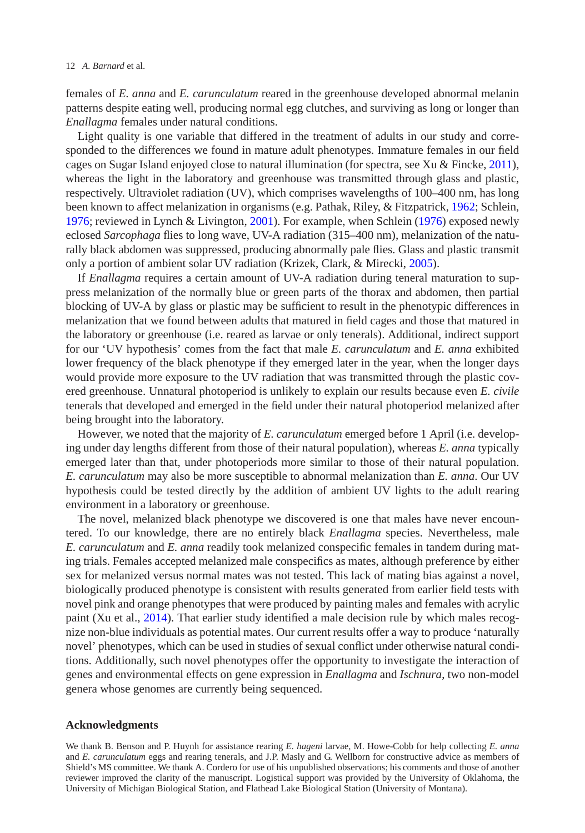females of *E. anna* and *E. carunculatum* reared in the greenhouse developed abnormal melanin patterns despite eating well, producing normal egg clutches, and surviving as long or longer than *Enallagma* females under natural conditions.

Light quality is one variable that differed in the treatment of adults in our study and corresponded to the differences we found in mature adult phenotypes. Immature females in our field cages on Sugar Island enjoyed close to natural illumination (for spectra, see Xu & Fincke, [2011\)](#page-11-7), whereas the light in the laboratory and greenhouse was transmitted through glass and plastic, respectively. Ultraviolet radiation (UV), which comprises wavelengths of 100–400 nm, has long been known to affect melanization in organisms (e.g. Pathak, Riley, & Fitzpatrick, [1962;](#page-11-19) Schlein, [1976;](#page-11-16) reviewed in Lynch & Livington, [2001\)](#page-10-25). For example, when Schlein [\(1976\)](#page-11-16) exposed newly eclosed *Sarcophaga* flies to long wave, UV-A radiation (315–400 nm), melanization of the naturally black abdomen was suppressed, producing abnormally pale flies. Glass and plastic transmit only a portion of ambient solar UV radiation (Krizek, Clark, & Mirecki, [2005\)](#page-10-26).

If *Enallagma* requires a certain amount of UV-A radiation during teneral maturation to suppress melanization of the normally blue or green parts of the thorax and abdomen, then partial blocking of UV-A by glass or plastic may be sufficient to result in the phenotypic differences in melanization that we found between adults that matured in field cages and those that matured in the laboratory or greenhouse (i.e. reared as larvae or only tenerals). Additional, indirect support for our 'UV hypothesis' comes from the fact that male *E. carunculatum* and *E. anna* exhibited lower frequency of the black phenotype if they emerged later in the year, when the longer days would provide more exposure to the UV radiation that was transmitted through the plastic covered greenhouse. Unnatural photoperiod is unlikely to explain our results because even *E. civile* tenerals that developed and emerged in the field under their natural photoperiod melanized after being brought into the laboratory.

However, we noted that the majority of *E. carunculatum* emerged before 1 April (i.e. developing under day lengths different from those of their natural population), whereas *E. anna* typically emerged later than that, under photoperiods more similar to those of their natural population. *E. carunculatum* may also be more susceptible to abnormal melanization than *E. anna*. Our UV hypothesis could be tested directly by the addition of ambient UV lights to the adult rearing environment in a laboratory or greenhouse.

The novel, melanized black phenotype we discovered is one that males have never encountered. To our knowledge, there are no entirely black *Enallagma* species. Nevertheless, male *E. carunculatum* and *E. anna* readily took melanized conspecific females in tandem during mating trials. Females accepted melanized male conspecifics as mates, although preference by either sex for melanized versus normal mates was not tested. This lack of mating bias against a novel, biologically produced phenotype is consistent with results generated from earlier field tests with novel pink and orange phenotypes that were produced by painting males and females with acrylic paint (Xu et al., [2014\)](#page-11-8). That earlier study identified a male decision rule by which males recognize non-blue individuals as potential mates. Our current results offer a way to produce 'naturally novel' phenotypes, which can be used in studies of sexual conflict under otherwise natural conditions. Additionally, such novel phenotypes offer the opportunity to investigate the interaction of genes and environmental effects on gene expression in *Enallagma* and *Ischnura*, two non-model genera whose genomes are currently being sequenced.

#### **Acknowledgments**

We thank B. Benson and P. Huynh for assistance rearing *E. hageni* larvae, M. Howe-Cobb for help collecting *E. anna* and *E. carunculatum* eggs and rearing tenerals, and J.P. Masly and G. Wellborn for constructive advice as members of Shield's MS committee. We thank A. Cordero for use of his unpublished observations; his comments and those of another reviewer improved the clarity of the manuscript. Logistical support was provided by the University of Oklahoma, the University of Michigan Biological Station, and Flathead Lake Biological Station (University of Montana).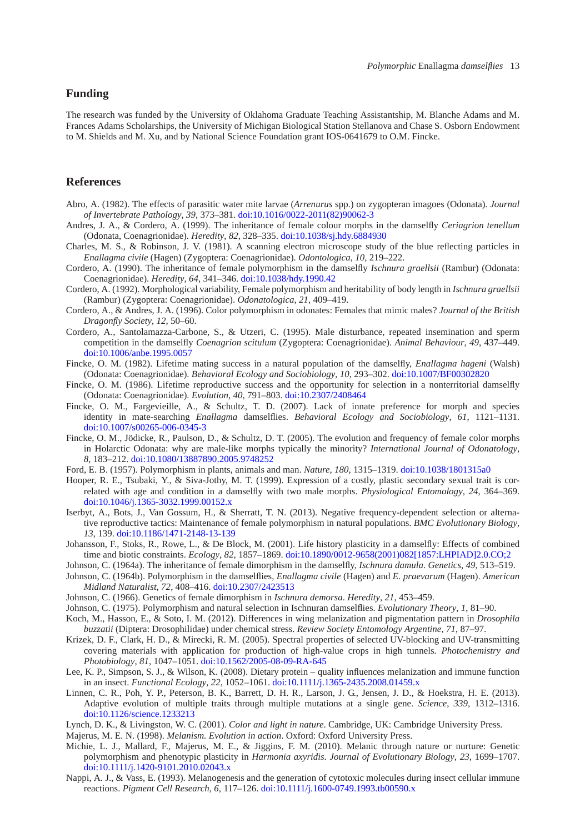# **Funding**

The research was funded by the University of Oklahoma Graduate Teaching Assistantship, M. Blanche Adams and M. Frances Adams Scholarships, the University of Michigan Biological Station Stellanova and Chase S. Osborn Endowment to M. Shields and M. Xu, and by National Science Foundation grant IOS-0641679 to O.M. Fincke.

#### **References**

- <span id="page-10-23"></span>Abro, A. (1982). The effects of parasitic water mite larvae (*Arrenurus* spp.) on zygopteran imagoes (Odonata). *Journal of Invertebrate Pathology*, *39*, 373–381. [doi:10.1016/0022-2011\(82\)90062-3](http://dx.doi.org/10.1016/0022-2011(82)90062-3)
- <span id="page-10-8"></span>Andres, J. A., & Cordero, A. (1999). The inheritance of female colour morphs in the damselfly *Ceriagrion tenellum* (Odonata, Coenagrionidae). *Heredity*, *82*, 328–335. [doi:10.1038/sj.hdy.6884930](http://dx.doi.org/10.1038/sj.hdy.6884930)
- <span id="page-10-20"></span>Charles, M. S., & Robinson, J. V. (1981). A scanning electron microscope study of the blue reflecting particles in *Enallagma civile* (Hagen) (Zygoptera: Coenagrionidae). *Odontologica*, *10*, 219–222.
- <span id="page-10-7"></span>Cordero, A. (1990). The inheritance of female polymorphism in the damselfly *Ischnura graellsii* (Rambur) (Odonata: Coenagrionidae). *Heredity*, *64*, 341–346. [doi:10.1038/hdy.1990.42](http://dx.doi.org/10.1038/hdy.1990.42)
- <span id="page-10-16"></span>Cordero, A. (1992). Morphological variability, Female polymorphism and heritability of body length in *Ischnura graellsii* (Rambur) (Zygoptera: Coenagrionidae). *Odonatologica*, *21*, 409–419.
- <span id="page-10-3"></span>Cordero, A., & Andres, J. A. (1996). Color polymorphism in odonates: Females that mimic males? *Journal of the British Dragonfly Society*, *12*, 50–60.
- <span id="page-10-19"></span>Cordero, A., Santolamazza-Carbone, S., & Utzeri, C. (1995). Male disturbance, repeated insemination and sperm competition in the damselfly *Coenagrion scitulum* (Zygoptera: Coenagrionidae). *Animal Behaviour*, *49*, 437–449. [doi:10.1006/anbe.1995.0057](http://dx.doi.org/10.1006/anbe.1995.0057)
- <span id="page-10-14"></span>Fincke, O. M. (1982). Lifetime mating success in a natural population of the damselfly, *Enallagma hageni* (Walsh) (Odonata: Coenagrionidae). *Behavioral Ecology and Sociobiology*, *10*, 293–302. [doi:10.1007/BF00302820](http://dx.doi.org/10.1007/BF00302820)
- <span id="page-10-12"></span>Fincke, O. M. (1986). Lifetime reproductive success and the opportunity for selection in a nonterritorial damselfly (Odonata: Coenagrionidae). *Evolution*, *40*, 791–803. [doi:10.2307/2408464](http://dx.doi.org/10.2307/2408464)
- <span id="page-10-13"></span>Fincke, O. M., Fargevieille, A., & Schultz, T. D. (2007). Lack of innate preference for morph and species identity in mate-searching *Enallagma* damselflies. *Behavioral Ecology and Sociobiology*, *61*, 1121–1131. [doi:10.1007/s00265-006-0345-3](http://dx.doi.org/10.1007/s00265-006-0345-3)
- <span id="page-10-4"></span>Fincke, O. M., Jödicke, R., Paulson, D., & Schultz, D. T. (2005). The evolution and frequency of female color morphs in Holarctic Odonata: why are male-like morphs typically the minority? *International Journal of Odonatology*, *8*, 183–212. [doi:10.1080/13887890.2005.9748252](http://dx.doi.org/10.1080/13887890.2005.9748252)
- Ford, E. B. (1957). Polymorphism in plants, animals and man. *Nature*, *180*, 1315–1319. [doi:10.1038/1801315a0](http://dx.doi.org/10.1038/1801315a0)
- <span id="page-10-5"></span><span id="page-10-2"></span>Hooper, R. E., Tsubaki, Y., & Siva-Jothy, M. T. (1999). Expression of a costly, plastic secondary sexual trait is correlated with age and condition in a damselfly with two male morphs. *Physiological Entomology*, *24*, 364–369. [doi:10.1046/j.1365-3032.1999.00152.x](http://dx.doi.org/10.1046/j.1365-3032.1999.00152.x)
- <span id="page-10-17"></span>Iserbyt, A., Bots, J., Van Gossum, H., & Sherratt, T. N. (2013). Negative frequency-dependent selection or alternative reproductive tactics: Maintenance of female polymorphism in natural populations. *BMC Evolutionary Biology*, *13*, 139. [doi:10.1186/1471-2148-13-139](http://dx.doi.org/10.1186/1471-2148-13-139)
- <span id="page-10-18"></span>Johansson, F., Stoks, R., Rowe, L., & De Block, M. (2001). Life history plasticity in a damselfly: Effects of combined time and biotic constraints. *Ecology*, *82*, 1857–1869. [doi:10.1890/0012-9658\(2001\)082\[1857:LHPIAD\]2.0.CO;2](http://dx.doi.org/10.1890/0012-9658(2001)082[1857:LHPIAD]2.0.CO;2)
- Johnson, C. (1964a). The inheritance of female dimorphism in the damselfly, *Ischnura damula*. *Genetics*, *49*, 513–519.
- <span id="page-10-11"></span><span id="page-10-9"></span>Johnson, C. (1964b). Polymorphism in the damselflies, *Enallagma civile* (Hagen) and *E. praevarum* (Hagen). *American Midland Naturalist*, *72*, 408–416. [doi:10.2307/2423513](http://dx.doi.org/10.2307/2423513)
- Johnson, C. (1966). Genetics of female dimorphism in *Ischnura demorsa*. *Heredity*, *21*, 453–459.
- <span id="page-10-10"></span>Johnson, C. (1975). Polymorphism and natural selection in Ischnuran damselflies. *Evolutionary Theory*, *1*, 81–90.
- <span id="page-10-21"></span><span id="page-10-6"></span>Koch, M., Hasson, E., & Soto, I. M. (2012). Differences in wing melanization and pigmentation pattern in *Drosophila buzzatii* (Diptera: Drosophilidae) under chemical stress. *Review Society Entomology Argentine*, *71*, 87–97.
- <span id="page-10-26"></span>Krizek, D. F., Clark, H. D., & Mirecki, R. M. (2005). Spectral properties of selected UV-blocking and UV-transmitting covering materials with application for production of high-value crops in high tunnels*. Photochemistry and Photobiology*, *81*, 1047–1051. [doi:10.1562/2005-08-09-RA-645](http://dx.doi.org/10.1562/2005-08-09-RA-645)
- <span id="page-10-22"></span>Lee, K. P., Simpson, S. J., & Wilson, K. (2008). Dietary protein – quality influences melanization and immune function in an insect. *Functional Ecology*, *22*, 1052–1061. [doi:10.1111/j.1365-2435.2008.01459.x](http://dx.doi.org/10.1111/j.1365-2435.2008.01459.x)
- <span id="page-10-0"></span>Linnen, C. R., Poh, Y. P., Peterson, B. K., Barrett, D. H. R., Larson, J. G., Jensen, J. D., & Hoekstra, H. E. (2013). Adaptive evolution of multiple traits through multiple mutations at a single gene. *Science*, *339*, 1312–1316. [doi:10.1126/science.1233213](http://dx.doi.org/10.1126/science.1233213)
- Lynch, D. K., & Livingston, W. C. (2001). *Color and light in nature*. Cambridge, UK: Cambridge University Press.

<span id="page-10-25"></span>Majerus, M. E. N. (1998). *Melanism. Evolution in action*. Oxford: Oxford University Press.

- <span id="page-10-15"></span><span id="page-10-1"></span>Michie, L. J., Mallard, F., Majerus, M. E., & Jiggins, F. M. (2010). Melanic through nature or nurture: Genetic polymorphism and phenotypic plasticity in *Harmonia axyridis*. *Journal of Evolutionary Biology*, *23*, 1699–1707. [doi:10.1111/j.1420-9101.2010.02043.x](http://dx.doi.org/10.1111/j.1420-9101.2010.02043.x)
- <span id="page-10-24"></span>Nappi, A. J., & Vass, E. (1993). Melanogenesis and the generation of cytotoxic molecules during insect cellular immune reactions. *Pigment Cell Research*, *6*, 117–126. [doi:10.1111/j.1600-0749.1993.tb00590.x](http://dx.doi.org/10.1111/j.1600-0749.1993.tb00590.x)